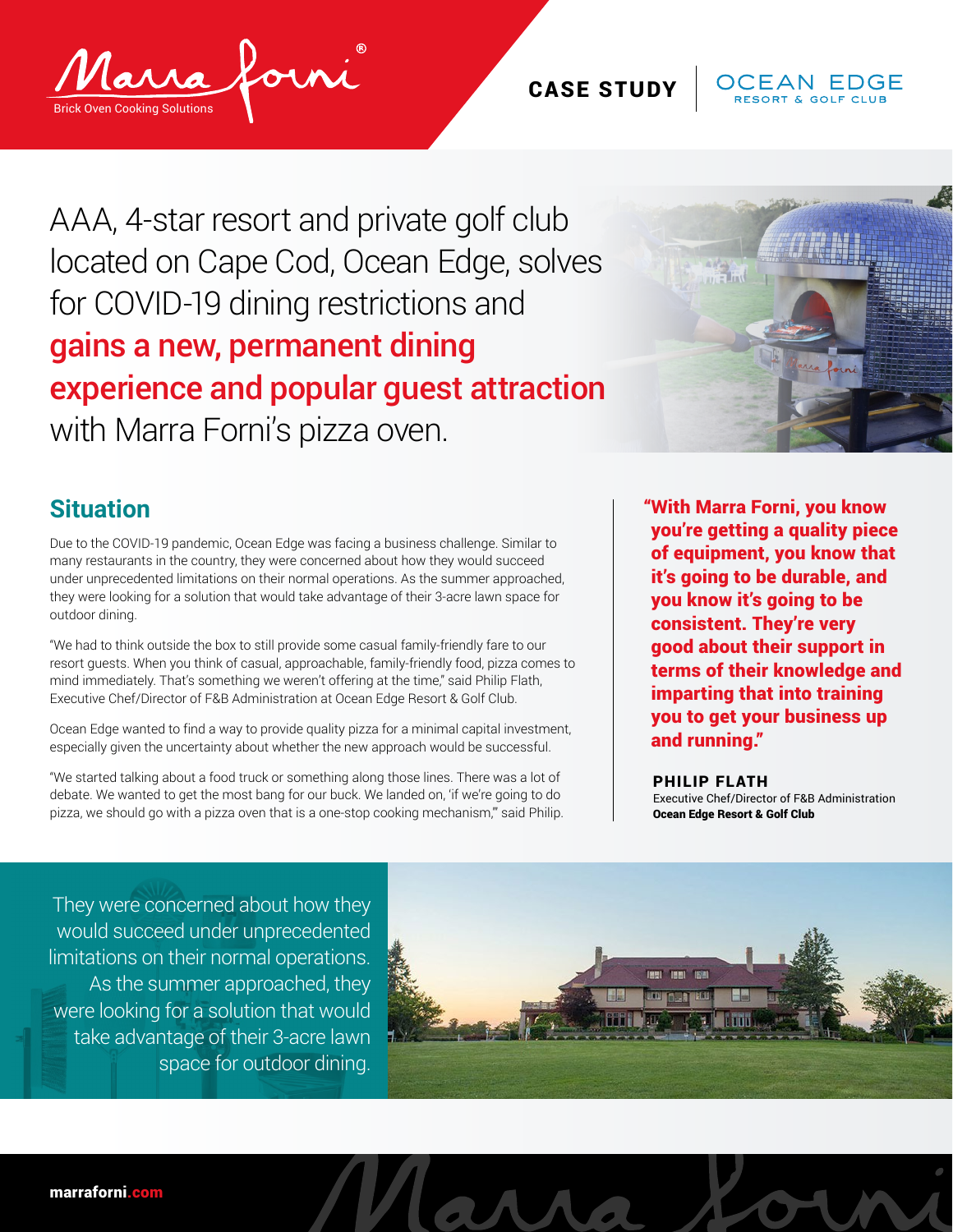## CASE STUDY



AAA, 4-star resort and private golf club located on Cape Cod, Ocean Edge, solves for COVID-19 dining restrictions and gains a new, permanent dining experience and popular guest attraction with Marra Forni's pizza oven.



## **Situation**

Due to the COVID-19 pandemic, Ocean Edge was facing a business challenge. Similar to many restaurants in the country, they were concerned about how they would succeed under unprecedented limitations on their normal operations. As the summer approached, they were looking for a solution that would take advantage of their 3-acre lawn space for outdoor dining.

"We had to think outside the box to still provide some casual family-friendly fare to our resort guests. When you think of casual, approachable, family-friendly food, pizza comes to mind immediately. That's something we weren't offering at the time," said Philip Flath, Executive Chef/Director of F&B Administration at Ocean Edge Resort & Golf Club.

Ocean Edge wanted to find a way to provide quality pizza for a minimal capital investment, especially given the uncertainty about whether the new approach would be successful.

"We started talking about a food truck or something along those lines. There was a lot of debate. We wanted to get the most bang for our buck. We landed on, 'if we're going to do pizza, we should go with a pizza oven that is a one-stop cooking mechanism,'" said Philip. "With Marra Forni, you know you're getting a quality piece of equipment, you know that it's going to be durable, and you know it's going to be consistent. They're very good about their support in terms of their knowledge and imparting that into training you to get your business up and running."

PHILIP FLATH Executive Chef/Director of F&B Administration Ocean Edge Resort & Golf Club

They were concerned about how they would succeed under unprecedented limitations on their normal operations. As the summer approached, they were looking for a solution that would take advantage of their 3-acre lawn space for outdoor dining.